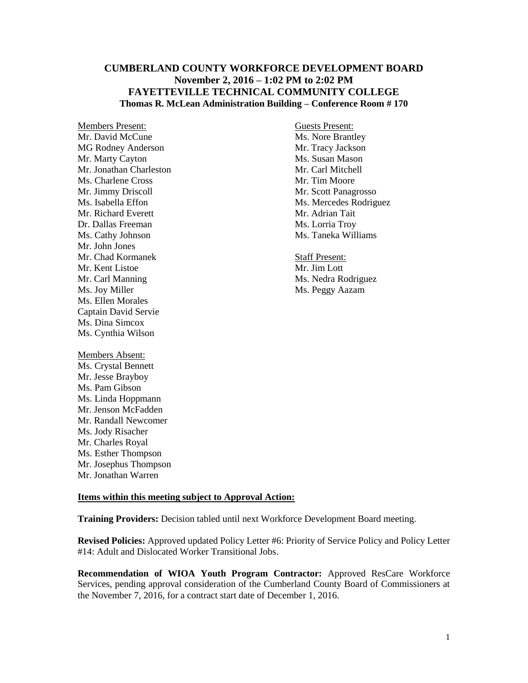# **CUMBERLAND COUNTY WORKFORCE DEVELOPMENT BOARD November 2, 2016 – 1:02 PM to 2:02 PM FAYETTEVILLE TECHNICAL COMMUNITY COLLEGE Thomas R. McLean Administration Building – Conference Room # 170**

Members Present: Guests Present: Mr. David McCune Ms. Nore Brantley MG Rodney Anderson Mr. Tracy Jackson Mr. Marty Cayton Ms. Susan Mason Mr. Jonathan Charleston Mr. Carl Mitchell Ms. Charlene Cross Mr. Tim Moore Mr. Jimmy Driscoll Mr. Scott Panagrosso Mr. Richard Everett Mr. Adrian Tait Dr. Dallas Freeman Ms. Lorria Troy Ms. Cathy Johnson Ms. Taneka Williams Mr. John Jones Mr. Chad Kormanek Staff Present: Mr. Kent Listoe Mr. Jim Lott Mr. Carl Manning Ms. Nedra Rodriguez Ms. Joy Miller Ms. Peggy Aazam Ms. Ellen Morales Captain David Servie Ms. Dina Simcox Ms. Cynthia Wilson Members Absent: Ms. Crystal Bennett Mr. Jesse Brayboy Ms. Pam Gibson Ms. Linda Hoppmann

Mr. Jenson McFadden Mr. Randall Newcomer Ms. Jody Risacher Mr. Charles Royal Ms. Esther Thompson Mr. Josephus Thompson Mr. Jonathan Warren

Ms. Isabella Effon Ms. Mercedes Rodriguez

## **Items within this meeting subject to Approval Action:**

**Training Providers:** Decision tabled until next Workforce Development Board meeting.

**Revised Policies:** Approved updated Policy Letter #6: Priority of Service Policy and Policy Letter #14: Adult and Dislocated Worker Transitional Jobs.

**Recommendation of WIOA Youth Program Contractor:** Approved ResCare Workforce Services, pending approval consideration of the Cumberland County Board of Commissioners at the November 7, 2016, for a contract start date of December 1, 2016.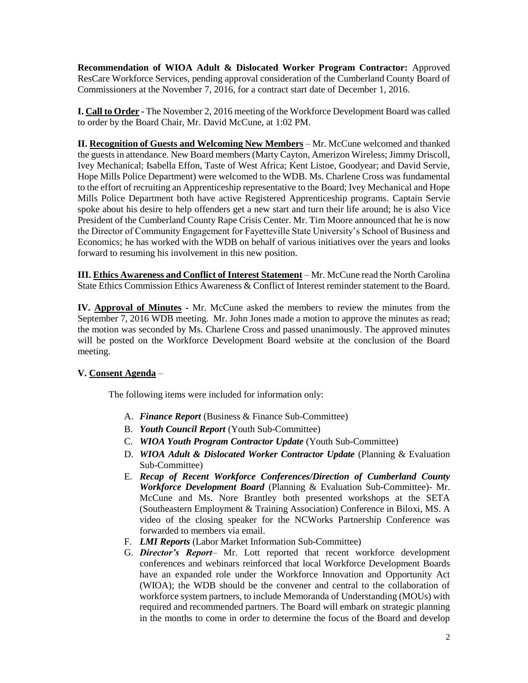**Recommendation of WIOA Adult & Dislocated Worker Program Contractor:** Approved ResCare Workforce Services, pending approval consideration of the Cumberland County Board of Commissioners at the November 7, 2016, for a contract start date of December 1, 2016.

**I. Call to Order -** The November 2, 2016 meeting of the Workforce Development Board was called to order by the Board Chair, Mr. David McCune, at 1:02 PM.

**II. Recognition of Guests and Welcoming New Members** – Mr. McCune welcomed and thanked the guests in attendance. New Board members (Marty Cayton, Amerizon Wireless; Jimmy Driscoll, Ivey Mechanical; Isabella Effon, Taste of West Africa; Kent Listoe, Goodyear; and David Servie, Hope Mills Police Department) were welcomed to the WDB. Ms. Charlene Cross was fundamental to the effort of recruiting an Apprenticeship representative to the Board; Ivey Mechanical and Hope Mills Police Department both have active Registered Apprenticeship programs. Captain Servie spoke about his desire to help offenders get a new start and turn their life around; he is also Vice President of the Cumberland County Rape Crisis Center. Mr. Tim Moore announced that he is now the Director of Community Engagement for Fayetteville State University's School of Business and Economics; he has worked with the WDB on behalf of various initiatives over the years and looks forward to resuming his involvement in this new position.

**III. Ethics Awareness and Conflict of Interest Statement** – Mr. McCune read the North Carolina State Ethics Commission Ethics Awareness & Conflict of Interest reminder statement to the Board.

**IV. Approval of Minutes -** Mr. McCune asked the members to review the minutes from the September 7, 2016 WDB meeting. Mr. John Jones made a motion to approve the minutes as read; the motion was seconded by Ms. Charlene Cross and passed unanimously. The approved minutes will be posted on the Workforce Development Board website at the conclusion of the Board meeting.

## **V. Consent Agenda** –

The following items were included for information only:

- A. *Finance Report* (Business & Finance Sub-Committee)
- B. *Youth Council Report* (Youth Sub-Committee)
- C. *WIOA Youth Program Contractor Update* (Youth Sub-Committee)
- D. *WIOA Adult & Dislocated Worker Contractor Update* (Planning & Evaluation Sub-Committee)
- E. *Recap of Recent Workforce Conferences/Direction of Cumberland County Workforce Development Board* (Planning & Evaluation Sub-Committee)- Mr. McCune and Ms. Nore Brantley both presented workshops at the SETA (Southeastern Employment & Training Association) Conference in Biloxi, MS. A video of the closing speaker for the NCWorks Partnership Conference was forwarded to members via email.
- F. *LMI Reports* (Labor Market Information Sub-Committee)
- G. *Director's Report* Mr. Lott reported that recent workforce development conferences and webinars reinforced that local Workforce Development Boards have an expanded role under the Workforce Innovation and Opportunity Act (WIOA); the WDB should be the convener and central to the collaboration of workforce system partners, to include Memoranda of Understanding (MOUs) with required and recommended partners. The Board will embark on strategic planning in the months to come in order to determine the focus of the Board and develop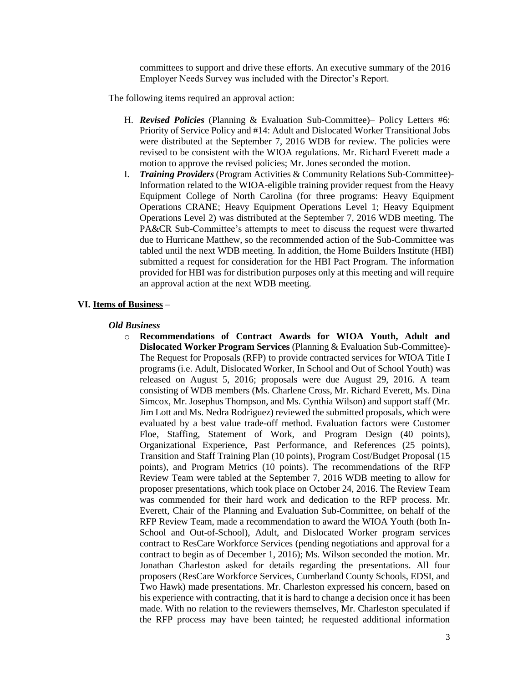committees to support and drive these efforts. An executive summary of the 2016 Employer Needs Survey was included with the Director's Report.

The following items required an approval action:

- H. *Revised Policies* (Planning & Evaluation Sub-Committee)– Policy Letters #6: Priority of Service Policy and #14: Adult and Dislocated Worker Transitional Jobs were distributed at the September 7, 2016 WDB for review. The policies were revised to be consistent with the WIOA regulations. Mr. Richard Everett made a motion to approve the revised policies; Mr. Jones seconded the motion.
- I. *Training Providers* (Program Activities & Community Relations Sub-Committee)- Information related to the WIOA-eligible training provider request from the Heavy Equipment College of North Carolina (for three programs: Heavy Equipment Operations CRANE; Heavy Equipment Operations Level 1; Heavy Equipment Operations Level 2) was distributed at the September 7, 2016 WDB meeting. The PA&CR Sub-Committee's attempts to meet to discuss the request were thwarted due to Hurricane Matthew, so the recommended action of the Sub-Committee was tabled until the next WDB meeting. In addition, the Home Builders Institute (HBI) submitted a request for consideration for the HBI Pact Program. The information provided for HBI was for distribution purposes only at this meeting and will require an approval action at the next WDB meeting.

## **VI. Items of Business** –

#### *Old Business*

o **Recommendations of Contract Awards for WIOA Youth, Adult and Dislocated Worker Program Services** (Planning & Evaluation Sub-Committee)- The Request for Proposals (RFP) to provide contracted services for WIOA Title I programs (i.e. Adult, Dislocated Worker, In School and Out of School Youth) was released on August 5, 2016; proposals were due August 29, 2016. A team consisting of WDB members (Ms. Charlene Cross, Mr. Richard Everett, Ms. Dina Simcox, Mr. Josephus Thompson, and Ms. Cynthia Wilson) and support staff (Mr. Jim Lott and Ms. Nedra Rodriguez) reviewed the submitted proposals, which were evaluated by a best value trade-off method. Evaluation factors were Customer Floe, Staffing, Statement of Work, and Program Design (40 points), Organizational Experience, Past Performance, and References (25 points), Transition and Staff Training Plan (10 points), Program Cost/Budget Proposal (15 points), and Program Metrics (10 points). The recommendations of the RFP Review Team were tabled at the September 7, 2016 WDB meeting to allow for proposer presentations, which took place on October 24, 2016. The Review Team was commended for their hard work and dedication to the RFP process. Mr. Everett, Chair of the Planning and Evaluation Sub-Committee, on behalf of the RFP Review Team, made a recommendation to award the WIOA Youth (both In-School and Out-of-School), Adult, and Dislocated Worker program services contract to ResCare Workforce Services (pending negotiations and approval for a contract to begin as of December 1, 2016); Ms. Wilson seconded the motion. Mr. Jonathan Charleston asked for details regarding the presentations. All four proposers (ResCare Workforce Services, Cumberland County Schools, EDSI, and Two Hawk) made presentations. Mr. Charleston expressed his concern, based on his experience with contracting, that it is hard to change a decision once it has been made. With no relation to the reviewers themselves, Mr. Charleston speculated if the RFP process may have been tainted; he requested additional information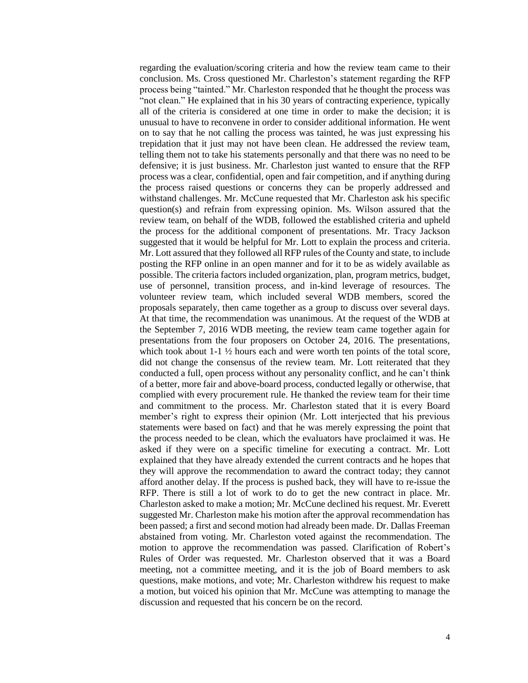regarding the evaluation/scoring criteria and how the review team came to their conclusion. Ms. Cross questioned Mr. Charleston's statement regarding the RFP process being "tainted." Mr. Charleston responded that he thought the process was "not clean." He explained that in his 30 years of contracting experience, typically all of the criteria is considered at one time in order to make the decision; it is unusual to have to reconvene in order to consider additional information. He went on to say that he not calling the process was tainted, he was just expressing his trepidation that it just may not have been clean. He addressed the review team, telling them not to take his statements personally and that there was no need to be defensive; it is just business. Mr. Charleston just wanted to ensure that the RFP process was a clear, confidential, open and fair competition, and if anything during the process raised questions or concerns they can be properly addressed and withstand challenges. Mr. McCune requested that Mr. Charleston ask his specific question(s) and refrain from expressing opinion. Ms. Wilson assured that the review team, on behalf of the WDB, followed the established criteria and upheld the process for the additional component of presentations. Mr. Tracy Jackson suggested that it would be helpful for Mr. Lott to explain the process and criteria. Mr. Lott assured that they followed all RFP rules of the County and state, to include posting the RFP online in an open manner and for it to be as widely available as possible. The criteria factors included organization, plan, program metrics, budget, use of personnel, transition process, and in-kind leverage of resources. The volunteer review team, which included several WDB members, scored the proposals separately, then came together as a group to discuss over several days. At that time, the recommendation was unanimous. At the request of the WDB at the September 7, 2016 WDB meeting, the review team came together again for presentations from the four proposers on October 24, 2016. The presentations, which took about 1-1  $\frac{1}{2}$  hours each and were worth ten points of the total score, did not change the consensus of the review team. Mr. Lott reiterated that they conducted a full, open process without any personality conflict, and he can't think of a better, more fair and above-board process, conducted legally or otherwise, that complied with every procurement rule. He thanked the review team for their time and commitment to the process. Mr. Charleston stated that it is every Board member's right to express their opinion (Mr. Lott interjected that his previous statements were based on fact) and that he was merely expressing the point that the process needed to be clean, which the evaluators have proclaimed it was. He asked if they were on a specific timeline for executing a contract. Mr. Lott explained that they have already extended the current contracts and he hopes that they will approve the recommendation to award the contract today; they cannot afford another delay. If the process is pushed back, they will have to re-issue the RFP. There is still a lot of work to do to get the new contract in place. Mr. Charleston asked to make a motion; Mr. McCune declined his request. Mr. Everett suggested Mr. Charleston make his motion after the approval recommendation has been passed; a first and second motion had already been made. Dr. Dallas Freeman abstained from voting. Mr. Charleston voted against the recommendation. The motion to approve the recommendation was passed. Clarification of Robert's Rules of Order was requested. Mr. Charleston observed that it was a Board meeting, not a committee meeting, and it is the job of Board members to ask questions, make motions, and vote; Mr. Charleston withdrew his request to make a motion, but voiced his opinion that Mr. McCune was attempting to manage the discussion and requested that his concern be on the record.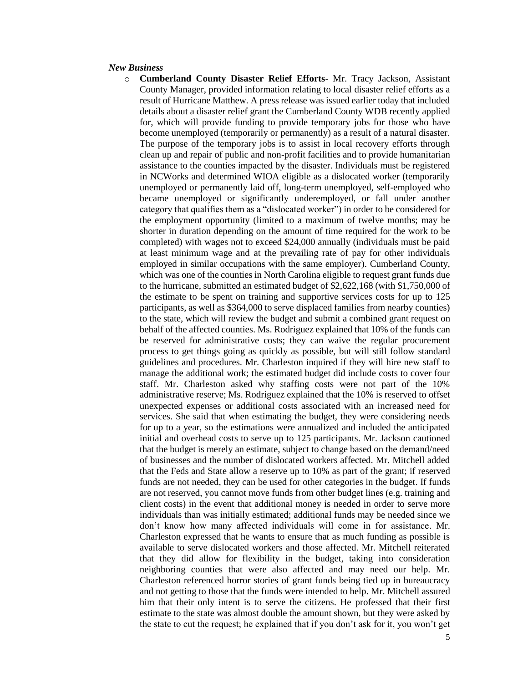#### *New Business*

o **Cumberland County Disaster Relief Efforts**- Mr. Tracy Jackson, Assistant County Manager, provided information relating to local disaster relief efforts as a result of Hurricane Matthew. A press release was issued earlier today that included details about a disaster relief grant the Cumberland County WDB recently applied for, which will provide funding to provide temporary jobs for those who have become unemployed (temporarily or permanently) as a result of a natural disaster. The purpose of the temporary jobs is to assist in local recovery efforts through clean up and repair of public and non-profit facilities and to provide humanitarian assistance to the counties impacted by the disaster. Individuals must be registered in NCWorks and determined WIOA eligible as a dislocated worker (temporarily unemployed or permanently laid off, long-term unemployed, self-employed who became unemployed or significantly underemployed, or fall under another category that qualifies them as a "dislocated worker") in order to be considered for the employment opportunity (limited to a maximum of twelve months; may be shorter in duration depending on the amount of time required for the work to be completed) with wages not to exceed \$24,000 annually (individuals must be paid at least minimum wage and at the prevailing rate of pay for other individuals employed in similar occupations with the same employer). Cumberland County, which was one of the counties in North Carolina eligible to request grant funds due to the hurricane, submitted an estimated budget of \$2,622,168 (with \$1,750,000 of the estimate to be spent on training and supportive services costs for up to 125 participants, as well as \$364,000 to serve displaced families from nearby counties) to the state, which will review the budget and submit a combined grant request on behalf of the affected counties. Ms. Rodriguez explained that 10% of the funds can be reserved for administrative costs; they can waive the regular procurement process to get things going as quickly as possible, but will still follow standard guidelines and procedures. Mr. Charleston inquired if they will hire new staff to manage the additional work; the estimated budget did include costs to cover four staff. Mr. Charleston asked why staffing costs were not part of the 10% administrative reserve; Ms. Rodriguez explained that the 10% is reserved to offset unexpected expenses or additional costs associated with an increased need for services. She said that when estimating the budget, they were considering needs for up to a year, so the estimations were annualized and included the anticipated initial and overhead costs to serve up to 125 participants. Mr. Jackson cautioned that the budget is merely an estimate, subject to change based on the demand/need of businesses and the number of dislocated workers affected. Mr. Mitchell added that the Feds and State allow a reserve up to 10% as part of the grant; if reserved funds are not needed, they can be used for other categories in the budget. If funds are not reserved, you cannot move funds from other budget lines (e.g. training and client costs) in the event that additional money is needed in order to serve more individuals than was initially estimated; additional funds may be needed since we don't know how many affected individuals will come in for assistance. Mr. Charleston expressed that he wants to ensure that as much funding as possible is available to serve dislocated workers and those affected. Mr. Mitchell reiterated that they did allow for flexibility in the budget, taking into consideration neighboring counties that were also affected and may need our help. Mr. Charleston referenced horror stories of grant funds being tied up in bureaucracy and not getting to those that the funds were intended to help. Mr. Mitchell assured him that their only intent is to serve the citizens. He professed that their first estimate to the state was almost double the amount shown, but they were asked by the state to cut the request; he explained that if you don't ask for it, you won't get